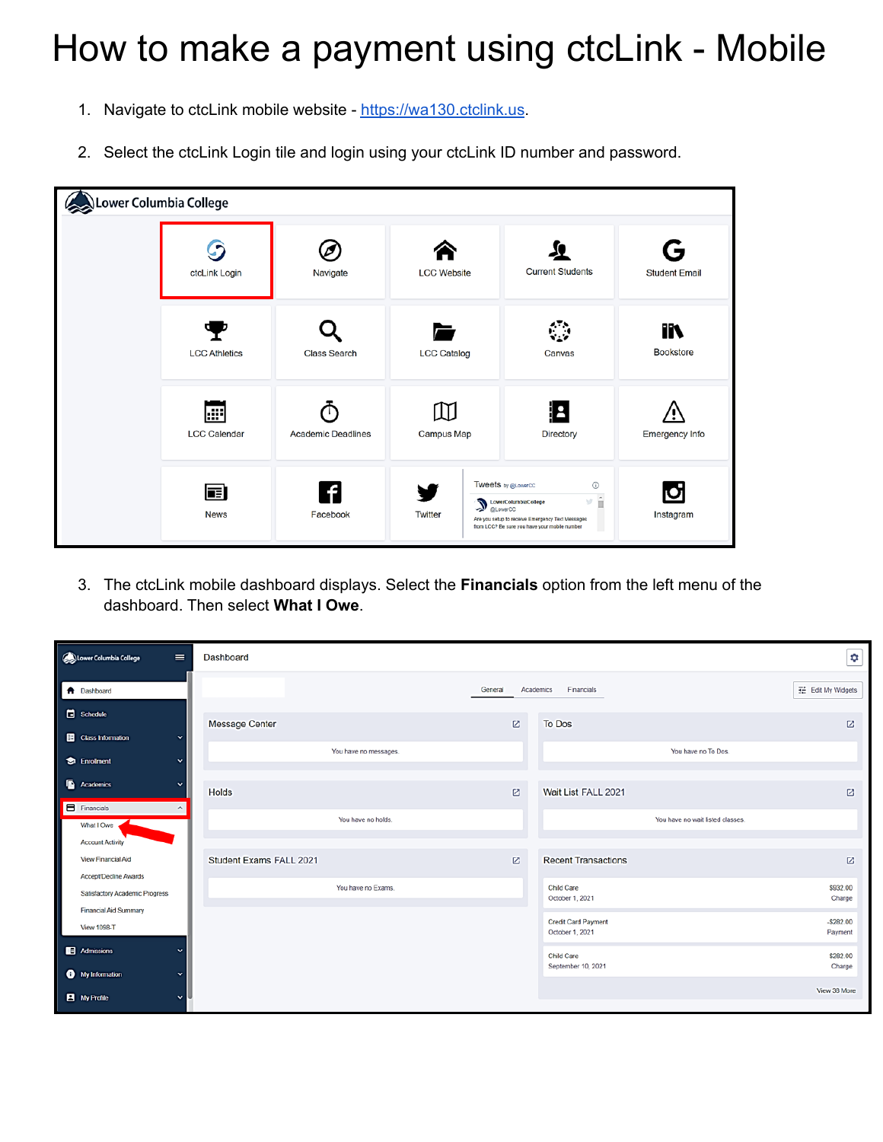## How to make a payment using ctcLink - Mobile

- 1. Navigate to ctcLink mobile website <https://wa130.ctclink.us>.
- 2. Select the ctcLink Login tile and login using your ctcLink ID number and password.

| $\Omega$ Lower Columbia College |                            |                           |                    |                                                                                                                                                                         |                           |
|---------------------------------|----------------------------|---------------------------|--------------------|-------------------------------------------------------------------------------------------------------------------------------------------------------------------------|---------------------------|
|                                 | ctcLink Login              | Navigate                  | <b>LCC Website</b> | <b>Current Students</b>                                                                                                                                                 | G<br><b>Student Email</b> |
|                                 | <b>LCC Athletics</b>       | <b>Class Search</b>       | <b>LCC Catalog</b> | Canvas                                                                                                                                                                  | m<br><b>Bookstore</b>     |
|                                 | l⊞l<br><b>LCC Calendar</b> | <b>Academic Deadlines</b> | Campus Map         | ٩<br>Directory                                                                                                                                                          | Emergency Info            |
|                                 | 畐<br><b>News</b>           | Facebook                  | <b>Twitter</b>     | <b>Tweets by @LowerCC</b><br>$\odot$<br>мâ<br>LowerColumbiaCollege<br>Are you setup to receive Emergency Text Messages<br>from LCC? Be sure you have your mobile number | Q<br>Instagram            |

3. The ctcLink mobile dashboard displays. Select the **Financials** option from the left menu of the dashboard. Then select **What I Owe**.

| $\equiv$<br>Lower Columbia College                                             | Dashboard               |                                               | ÷                       |
|--------------------------------------------------------------------------------|-------------------------|-----------------------------------------------|-------------------------|
| <b>f</b> Dashboard                                                             |                         | General<br>Academics<br>Financials            | 11 Edit My Widgets      |
| Schedule<br><b>B</b> Class Information<br>$\checkmark$                         | Message Center          | <b>To Dos</b><br>区                            | $\boxtimes$             |
| <b>Enrolment</b><br>$\checkmark$                                               | You have no messages.   | You have no To Dos.                           |                         |
| Academics<br>$\checkmark$                                                      | <b>Holds</b>            | Ø<br>Wait List FALL 2021                      | $\boxtimes$             |
| Financials<br>$\hat{\phantom{a}}$<br>What I Owe                                | You have no holds.      | You have no wait listed classes.              |                         |
| <b>Account Activity</b><br>View Financial Aid                                  | Student Exams FALL 2021 | <b>Recent Transactions</b><br>Ø               | $\boxtimes$             |
| Accept/Decline Awards<br>Satisfactory Academic Progress                        | You have no Exams.      | Child Care<br>October 1, 2021                 | \$932.00<br>Charge      |
| <b>Financial Aid Summary</b><br><b>View 1098-T</b>                             |                         | <b>Credit Card Payment</b><br>October 1, 2021 | $-$ \$282.00<br>Payment |
| Admissions<br>$\checkmark$                                                     |                         | Child Care<br>September 10, 2021              | \$282.00<br>Charge      |
| <b>6</b> My Information<br>$\checkmark$<br><b>B</b> My Profile<br>$\checkmark$ |                         |                                               | View 38 More            |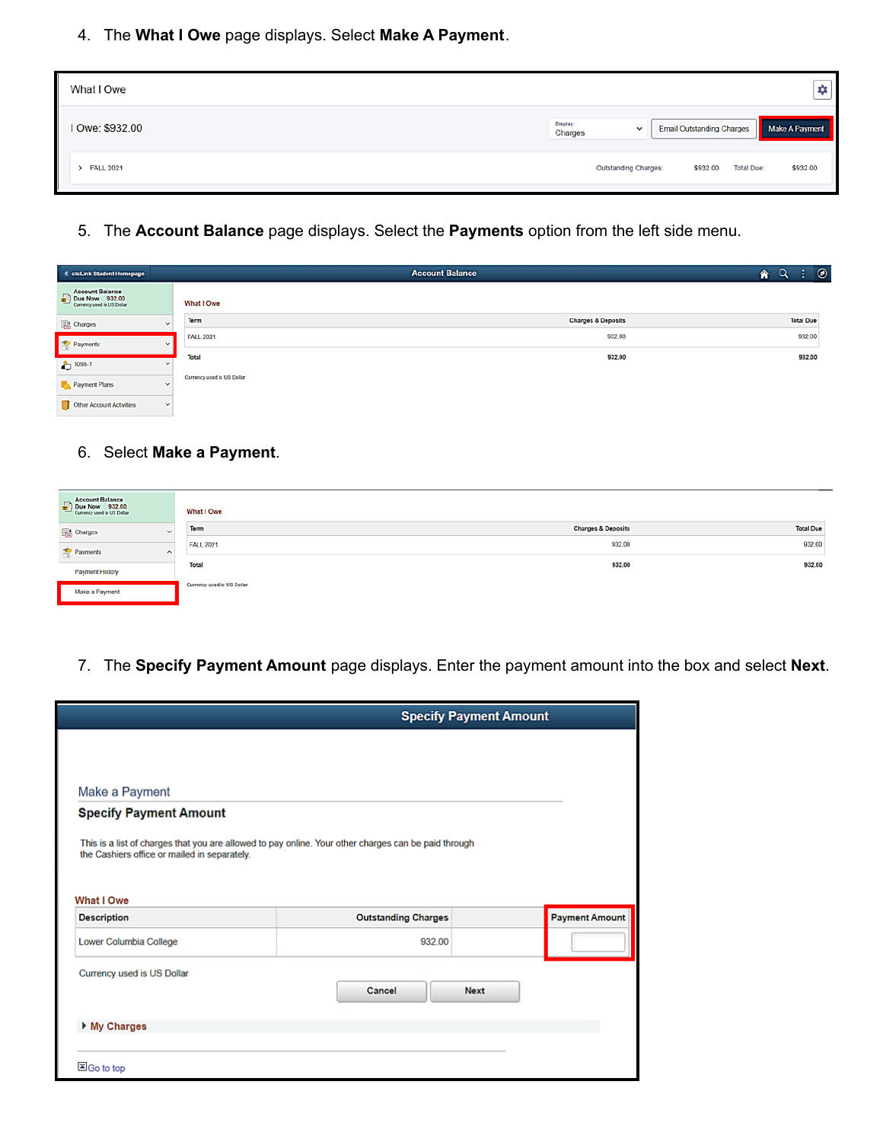4. The **What I Owe** page displays. Select **Make A Payment**.

| What I Owe      |                     |                      |                                  |                   | ٠              |
|-----------------|---------------------|----------------------|----------------------------------|-------------------|----------------|
| I Owe: \$932.00 | Display:<br>Charges | $\checkmark$         | <b>Email Outstanding Charges</b> |                   | Make A Payment |
| > FALL 2021     |                     | Outstanding Charges: | \$932.00                         | <b>Total Due:</b> | \$932.00       |

5. The **Account Balance** page displays. Select the **Payments** option from the left side menu.

| < ctcLink Student Homepage                                                        |              |                            | <b>Account Balance</b>        | $\circledcirc$<br>合 |
|-----------------------------------------------------------------------------------|--------------|----------------------------|-------------------------------|---------------------|
| <b>Account Balance</b><br>$\n  Due Now\n  932.00\n$<br>Currency used is US Dollar |              | What I Owe                 |                               |                     |
| <b>Charges</b>                                                                    | $\checkmark$ | Term                       | <b>Charges &amp; Deposits</b> | <b>Total Due</b>    |
| <b>Payments</b>                                                                   | $\checkmark$ | <b>FALL 2021</b>           | 932.00                        | 932.00              |
|                                                                                   |              | <b>Total</b>               | 932.00                        | 932.00              |
| $2 - 1098 - T$                                                                    |              |                            |                               |                     |
| Payment Plans                                                                     | $\checkmark$ | Currency used is US Dollar |                               |                     |
| Other Account Activities                                                          | $\checkmark$ |                            |                               |                     |

## 6. Select **Make a Payment**.

| <b>Account Balance</b><br>Due Now 932.00 | What I Owe                 |                               |                  |
|------------------------------------------|----------------------------|-------------------------------|------------------|
| Charges<br>$\checkmark$                  | Term                       | <b>Charges &amp; Deposits</b> | <b>Total Due</b> |
| Payments<br>$\sim$                       | <b>FALL 2021</b>           | 932.00                        | 932.00           |
| Payment History                          | Total                      | 932.00                        | 932.00           |
| Make a Payment                           | Currency used is US Dollar |                               |                  |

7. The **Specify Payment Amount** page displays. Enter the payment amount into the box and select **Next**.

|                                              |                                                                                                      | <b>Specify Payment Amount</b> |
|----------------------------------------------|------------------------------------------------------------------------------------------------------|-------------------------------|
|                                              |                                                                                                      |                               |
| Make a Payment                               |                                                                                                      |                               |
| <b>Specify Payment Amount</b>                |                                                                                                      |                               |
|                                              | This is a list of charges that you are allowed to pay online. Your other charges can be paid through |                               |
| the Cashiers office or mailed in separately. |                                                                                                      |                               |
|                                              |                                                                                                      |                               |
| What I Owe                                   |                                                                                                      |                               |
| <b>Description</b>                           | <b>Outstanding Charges</b>                                                                           | <b>Payment Amount</b>         |
| Lower Columbia College                       | 932.00                                                                                               |                               |
|                                              |                                                                                                      |                               |
| Currency used is US Dollar                   | Cancel                                                                                               | <b>Next</b>                   |
|                                              |                                                                                                      |                               |
| ▶ My Charges                                 |                                                                                                      |                               |
|                                              |                                                                                                      |                               |
|                                              |                                                                                                      |                               |
| 国Go to top                                   |                                                                                                      |                               |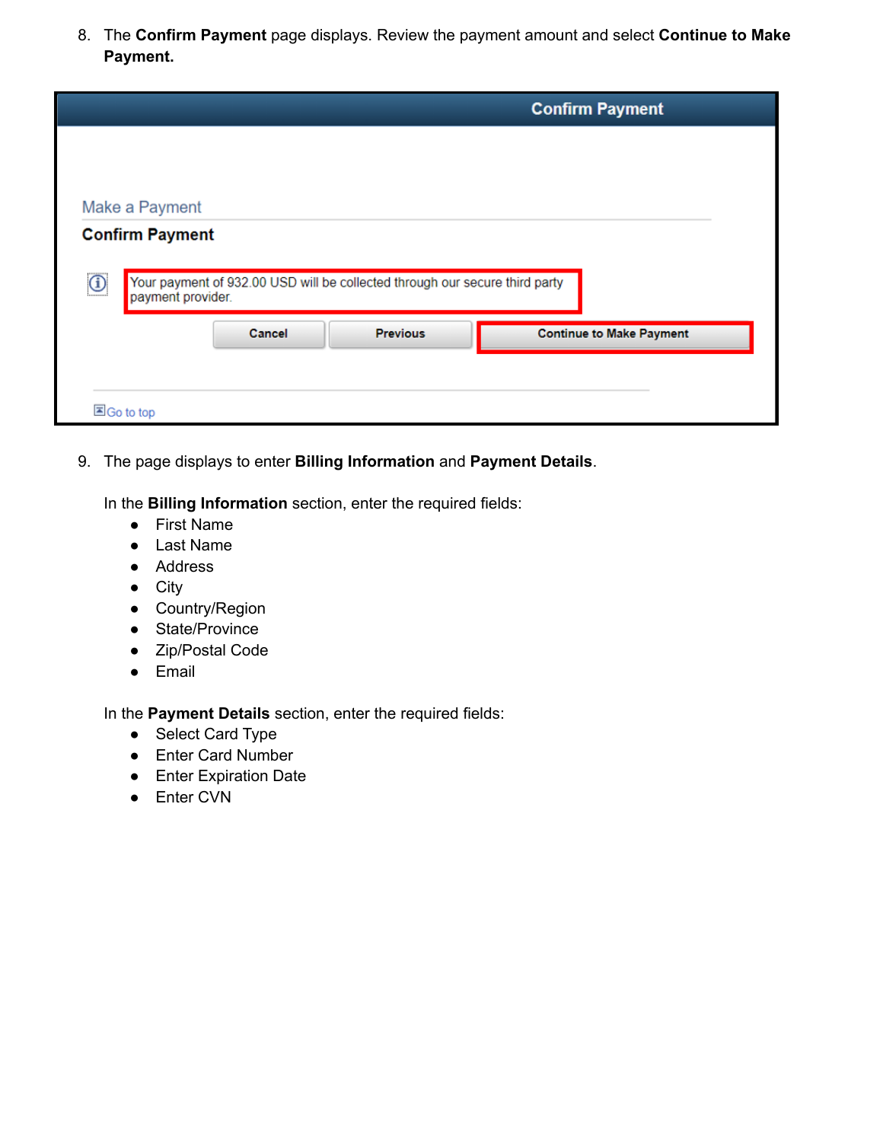8. The **Confirm Payment** page displays. Review the payment amount and select **Continue to Make Payment.**

|                                   |                   |                                                                             | <b>Confirm Payment</b>          |
|-----------------------------------|-------------------|-----------------------------------------------------------------------------|---------------------------------|
|                                   |                   |                                                                             |                                 |
| Make a Payment                    |                   |                                                                             |                                 |
| <b>Confirm Payment</b><br>$\odot$ | payment provider. | Your payment of 932.00 USD will be collected through our secure third party |                                 |
|                                   | Cancel            | <b>Previous</b>                                                             | <b>Continue to Make Payment</b> |
|                                   |                   |                                                                             |                                 |
|                                   |                   |                                                                             |                                 |

9. The page displays to enter **Billing Information** and **Payment Details**.

In the **Billing Information** section, enter the required fields:

- First Name
- Last Name
- Address
- City
- Country/Region
- State/Province
- Zip/Postal Code
- Email

In the **Payment Details** section, enter the required fields:

- Select Card Type
- Enter Card Number
- Enter Expiration Date
- Enter CVN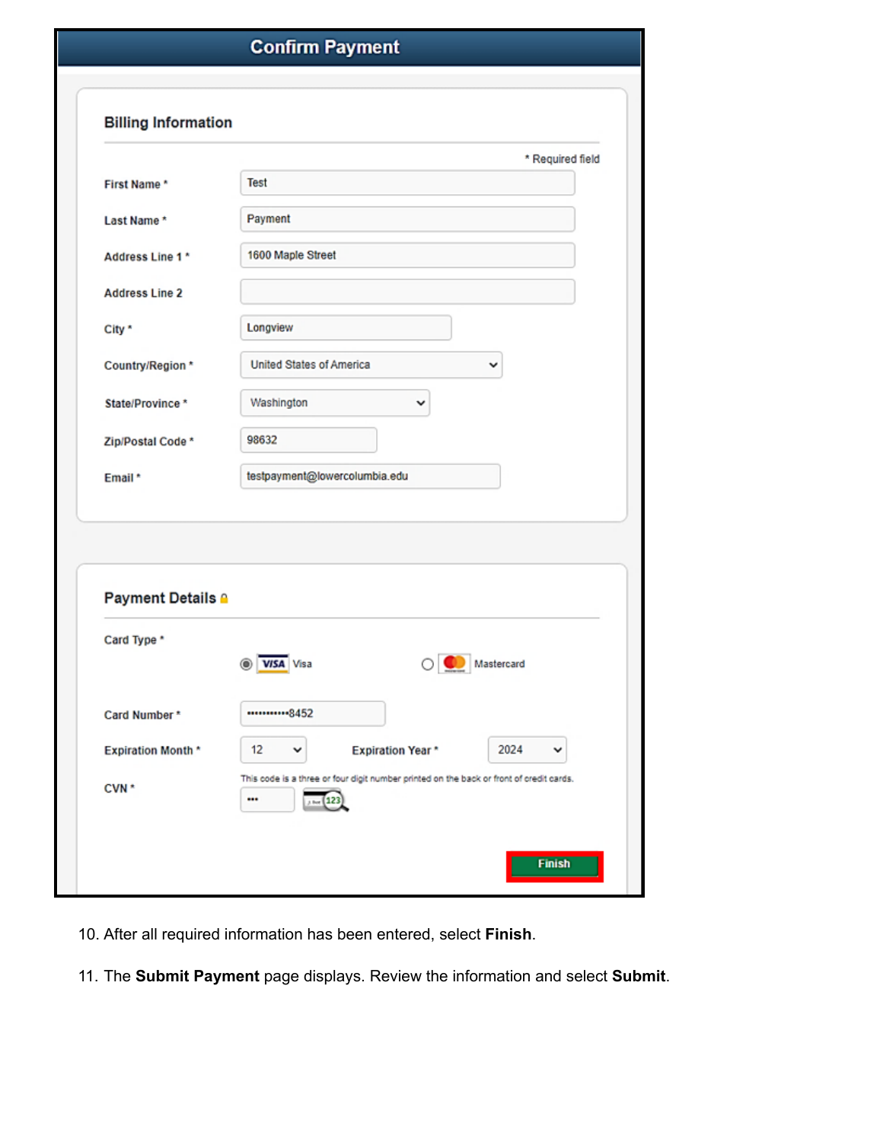| <b>Billing Information</b>              |                                                 |
|-----------------------------------------|-------------------------------------------------|
|                                         | * Required field                                |
| First Name*                             | <b>Test</b>                                     |
| Last Name*                              | Payment                                         |
| Address Line 1 *                        | 1600 Maple Street                               |
| <b>Address Line 2</b>                   |                                                 |
| City *                                  | Longview                                        |
| Country/Region *                        | <b>United States of America</b><br>v            |
| State/Province*                         | Washington<br>v                                 |
| Zip/Postal Code *                       | 98632                                           |
| Email*                                  | testpayment@lowercolumbia.edu                   |
|                                         |                                                 |
|                                         |                                                 |
| <b>Payment Details A</b><br>Card Type * |                                                 |
|                                         | O VISA Visa<br>$\bigcirc$ Mastercard            |
| Card Number*                            | ***********8452                                 |
| <b>Expiration Month*</b>                | 2024<br><b>Expiration Year*</b><br>12<br>v<br>v |

- 10. After all required information has been entered, select **Finish**.
- 11. The **Submit Payment** page displays. Review the information and select **Submit**.